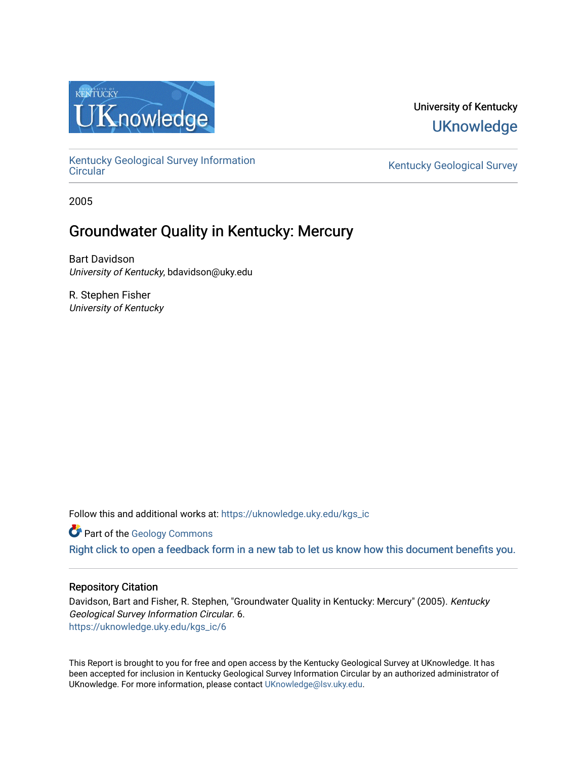

# University of Kentucky **UKnowledge**

[Kentucky Geological Survey Information](https://uknowledge.uky.edu/kgs_ic) 

Kentucky Geological Survey

2005

# Groundwater Quality in Kentucky: Mercury

Bart Davidson University of Kentucky, bdavidson@uky.edu

R. Stephen Fisher University of Kentucky

Follow this and additional works at: [https://uknowledge.uky.edu/kgs\\_ic](https://uknowledge.uky.edu/kgs_ic?utm_source=uknowledge.uky.edu%2Fkgs_ic%2F6&utm_medium=PDF&utm_campaign=PDFCoverPages)

**Part of the [Geology Commons](http://network.bepress.com/hgg/discipline/156?utm_source=uknowledge.uky.edu%2Fkgs_ic%2F6&utm_medium=PDF&utm_campaign=PDFCoverPages)** 

[Right click to open a feedback form in a new tab to let us know how this document benefits you.](https://uky.az1.qualtrics.com/jfe/form/SV_9mq8fx2GnONRfz7)

#### Repository Citation

Davidson, Bart and Fisher, R. Stephen, "Groundwater Quality in Kentucky: Mercury" (2005). Kentucky Geological Survey Information Circular. 6. [https://uknowledge.uky.edu/kgs\\_ic/6](https://uknowledge.uky.edu/kgs_ic/6?utm_source=uknowledge.uky.edu%2Fkgs_ic%2F6&utm_medium=PDF&utm_campaign=PDFCoverPages)

This Report is brought to you for free and open access by the Kentucky Geological Survey at UKnowledge. It has been accepted for inclusion in Kentucky Geological Survey Information Circular by an authorized administrator of UKnowledge. For more information, please contact [UKnowledge@lsv.uky.edu](mailto:UKnowledge@lsv.uky.edu).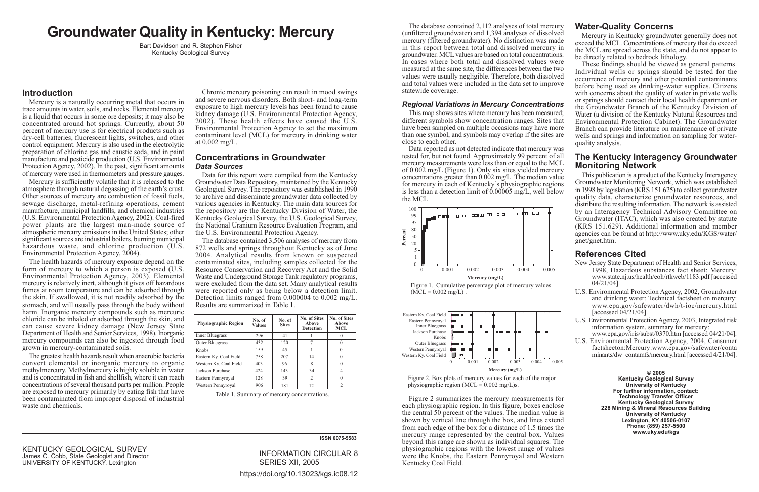# **Groundwater Quality in Kentucky: Mercury**

Bart Davidson and R. Stephen Fisher Kentucky Geological Survey

### **Introduction**

Mercury is a naturally occurring metal that occurs in trace amounts in water, soils, and rocks. Elemental mercury is a liquid that occurs in some ore deposits; it may also be concentrated around hot springs. Currently, about 50 percent of mercury use is for electrical products such as dry-cell batteries, fluorescent lights, switches, and other control equipment. Mercury is also used in the electrolytic preparation of chlorine gas and caustic soda, and in paint manufacture and pesticide production (U.S. Environmental Protection Agency, 2002). In the past, significant amounts of mercury were used in thermometers and pressure gauges.

Mercury is sufficiently volatile that it is released to the atmosphere through natural degassing of the earth's crust. Other sources of mercury are combustion of fossil fuels, sewage discharge, metal-refining operations, cement manufacture, municipal landfills, and chemical industries (U.S. Environmental Protection Agency, 2002). Coal-fired power plants are the largest man-made source of atmospheric mercury emissions in the United States; other significant sources are industrial boilers, burning municipal hazardous waste, and chlorine production (U.S. Environmental Protection Agency, 2004).

The health hazards of mercury exposure depend on the form of mercury to which a person is exposed (U.S. Environmental Protection Agency, 2003). Elemental mercury is relatively inert, although it gives off hazardous fumes at room temperature and can be adsorbed through the skin. If swallowed, it is not readily adsorbed by the stomach, and will usually pass through the body without harm. Inorganic mercury compounds such as mercuric chloride can be inhaled or adsorbed through the skin, and can cause severe kidney damage (New Jersey State) Department of Health and Senior Services, 1998). Inorganic mercury compounds can also be ingested through food grown in mercury-contaminated soils.

The greatest health hazards result when anaerobic bacteria convert elemental or inorganic mercury to organic methylmercury. Methylmercury is highly soluble in water and is concentrated in fish and shellfish, where it can reach concentrations of several thousand parts per million. People are exposed to mercury primarily by eating fish that have been contaminated from improper disposal of industrial waste and chemicals.

Chronic mercury poisoning can result in mood swings and severe nervous disorders. Both short- and long-term exposure to high mercury levels has been found to cause kidney damage (U.S. Environmental Protection Agency, 2002). These health effects have caused the U.S. Environmental Protection Agency to set the maximum contaminant level (MCL) for mercury in drinking water at  $0.002 \text{ mg/L}$ .

### **Concentrations in Groundwater Data Sources**

Data for this report were compiled from the Kentucky Groundwater Data Repository, maintained by the Kentucky Geological Survey. The repository was established in 1990 to archive and disseminate groundwater data collected by various agencies in Kentucky. The main data sources for the repository are the Kentucky Division of Water, the Kentucky Geological Survey, the U.S. Geological Survey, the National Uranium Resource Evaluation Program, and the U.S. Environmental Protection Agency.

The database contained 3.506 analyses of mercury from 872 wells and springs throughout Kentucky as of June 2004. Analytical results from known or suspected contaminated sites, including samples collected for the Resource Conservation and Recovery Act and the Solid Waste and Underground Storage Tank regulatory programs, were excluded from the data set. Many analytical results were reported only as being below a detection limit. Detection limits ranged from  $0.000004$  to  $0.002$  mg/L. Results are summarized in Table 1.

| <b>Physiographic Region</b> | No. of<br>Values | No. of<br><b>Sites</b> | No. of Sites<br>Above<br><b>Detection</b> | No. of Sites<br>Above<br>MCL |
|-----------------------------|------------------|------------------------|-------------------------------------------|------------------------------|
| <b>Inner Bluegrass</b>      | 296              | 41                     |                                           |                              |
| Outer Bluegrass             | 432              | 120                    | 7                                         |                              |
| Knobs                       | 159              | 45                     |                                           |                              |
| Eastern Ky. Coal Field      | 758              | 207                    | 14                                        |                              |
| Western Ky. Coal Field      | 403              | 96                     | 8                                         |                              |
| Jackson Purchase            | 424              | 143                    | 34                                        | 4                            |
| Eastern Pennyroyal          | 128              | 39                     | 2                                         |                              |
| Western Pennyroyal          | 906              | 181                    | 12                                        | $\mathfrak{D}$               |

Table 1. Summary of mercury concentrations.

The database contained 2,112 analyses of total mercury (unfiltered groundwater) and 1,394 analyses of dissolved mercury (filtered groundwater). No distinction was made in this report between total and dissolved mercury in groundwater. MCL values are based on total concentrations. In cases where both total and dissolved values were measured at the same site, the differences between the two values were usually negligible. Therefore, both dissolved and total values were included in the data set to improve statewide coverage.

#### **Regional Variations in Mercury Concentrations**

This map shows sites where mercury has been measured; different symbols show concentration ranges. Sites that have been sampled on multiple occasions may have more than one symbol, and symbols may overlap if the sites are close to each other.

Data reported as not detected indicate that mercury was tested for, but not found. Approximately 99 percent of all mercury measurements were less than or equal to the MCL of  $0.002 \text{ mg/L}$  (Figure 1). Only six sites yielded mercury concentrations greater than 0.002 mg/L. The median value for mercury in each of Kentucky's physiographic regions is less than a detection limit of  $0.00005$  mg/L, well below the MCL.



Figure 1. Cumulative percentage plot of mercury values  $(MCL = 0.002 \text{ mg/L})$ .



Figure 2. Box plots of mercury values for each of the major physiographic region (MCL =  $0.002 \text{ mg/L}$ )s.

Figure 2 summarizes the mercury measurements for each physiographic region. In this figure, boxes enclose the central 50 percent of the values. The median value is shown by vertical line through the box, and lines extend from each edge of the box for a distance of 1.5 times the mercury range represented by the central box. Values beyond this range are shown as individual squares. The physiographic regions with the lowest range of values were the Knobs, the Eastern Pennyroyal and Western Kentucky Coal Field.

**KENTUCKY GEOLOGICAL SURVEY** James C. Cobb, State Geologist and Director UNIVERSITY OF KENTUCKY, Lexington

**INFORMATION CIRCULAR 8** SERIES XII. 2005 https://doi.org/10.13023/kgs.ic08.12

**ISSN 0075-5583** 

# **Water-Quality Concerns**

Mercury in Kentucky groundwater generally does not exceed the MCL. Concentrations of mercury that do exceed the MCL are spread across the state, and do not appear to be directly related to be drock lithology.

These findings should be viewed as general patterns. Individual wells or springs should be tested for the occurrence of mercury and other potential contaminants before being used as drinking-water supplies. Citizens with concerns about the quality of water in private wells or springs should contact their local health department or the Groundwater Branch of the Kentucky Division of Water (a division of the Kentucky Natural Resources and Environmental Protection Cabinet). The Groundwater Branch can provide literature on maintenance of private wells and springs and information on sampling for waterquality analysis.

## The Kentucky Interagency Groundwater **Monitoring Network**

This publication is a product of the Kentucky Interagency Groundwater Monitoring Network, which was established in 1998 by legislation (KRS 151.625) to collect groundwater quality data, characterize groundwater resources, and distribute the resulting information. The network is assisted by an Interagency Technical Advisory Committee on Groundwater (ITAC), which was also created by statute (KRS 151.629). Additional information and member agencies can be found at http://www.uky.edu/KGS/water/ gnet/gnet.htm.

# **References Cited**

- New Jersey State Department of Health and Senior Services, 1998, Hazardous substances fact sheet: Mercury: www.state.nj.us/health/eoh/rtkweb/1183.pdf [accessed]  $04/21/04$ ].
- U.S. Environmental Protection Agency, 2002, Groundwater and drinking water: Technical factsheet on mercury: www.epa.gov/safewater/dwh/t-ioc/mercury.html [accessed  $04/21/04$ ].
- U.S. Environmental Protection Agency, 2003, Integrated risk information system, summary for mercury: www.epa.gov/iris/subst/0370.htm [accessed 04/21/04].
- U.S. Environmental Protection Agency, 2004, Consumer factsheeton:Mercury:www.epa.gov/safewater/conta minants/dw contamfs/mercury.html [accessed 4/21/04].